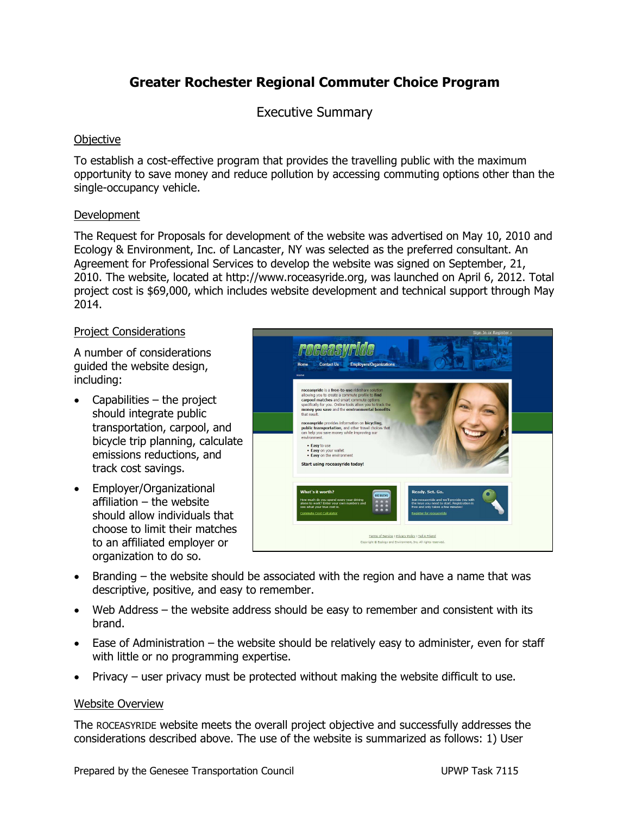# **Greater Rochester Regional Commuter Choice Program**

Executive Summary

## **Objective**

To establish a cost-effective program that provides the travelling public with the maximum opportunity to save money and reduce pollution by accessing commuting options other than the single-occupancy vehicle.

### **Development**

The Request for Proposals for development of the website was advertised on May 10, 2010 and Ecology & Environment, Inc. of Lancaster, NY was selected as the preferred consultant. An Agreement for Professional Services to develop the website was signed on September, 21, 2010. The website, located at http://www.roceasyride.org, was launched on April 6, 2012. Total project cost is \$69,000, which includes website development and technical support through May 2014.

### Project Considerations

A number of considerations guided the website design, including:

- Capabilities  $-$  the project should integrate public transportation, carpool, and bicycle trip planning, calculate emissions reductions, and track cost savings.
- Employer/Organizational affiliation – the website should allow individuals that choose to limit their matches to an affiliated employer or organization to do so.



- Branding the website should be associated with the region and have a name that was descriptive, positive, and easy to remember.
- Web Address the website address should be easy to remember and consistent with its brand.
- Ease of Administration the website should be relatively easy to administer, even for staff with little or no programming expertise.
- Privacy user privacy must be protected without making the website difficult to use.

### Website Overview

The ROCEASYRIDE website meets the overall project objective and successfully addresses the considerations described above. The use of the website is summarized as follows: 1) User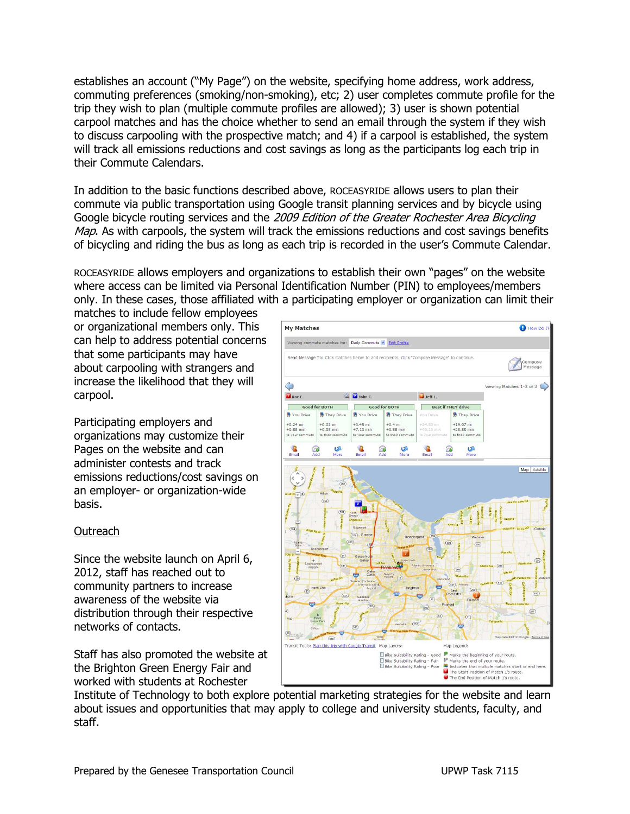establishes an account ("My Page") on the website, specifying home address, work address, commuting preferences (smoking/non-smoking), etc; 2) user completes commute profile for the trip they wish to plan (multiple commute profiles are allowed); 3) user is shown potential carpool matches and has the choice whether to send an email through the system if they wish to discuss carpooling with the prospective match; and 4) if a carpool is established, the system will track all emissions reductions and cost savings as long as the participants log each trip in their Commute Calendars.

In addition to the basic functions described above, ROCEASYRIDE allows users to plan their commute via public transportation using Google transit planning services and by bicycle using Google bicycle routing services and the 2009 Edition of the Greater Rochester Area Bicycling Map. As with carpools, the system will track the emissions reductions and cost savings benefits of bicycling and riding the bus as long as each trip is recorded in the user's Commute Calendar.

ROCEASYRIDE allows employers and organizations to establish their own "pages" on the website where access can be limited via Personal Identification Number (PIN) to employees/members only. In these cases, those affiliated with a participating employer or organization can limit their

matches to include fellow employees or organizational members only. This can help to address potential concerns that some participants may have about carpooling with strangers and increase the likelihood that they will carpool.

Participating employers and organizations may customize their Pages on the website and can administer contests and track emissions reductions/cost savings on an employer- or organization-wide basis.

### Outreach

Since the website launch on April 6, 2012, staff has reached out to community partners to increase awareness of the website via distribution through their respective networks of contacts.

Staff has also promoted the website at the Brighton Green Energy Fair and worked with students at Rochester



Institute of Technology to both explore potential marketing strategies for the website and learn about issues and opportunities that may apply to college and university students, faculty, and staff.